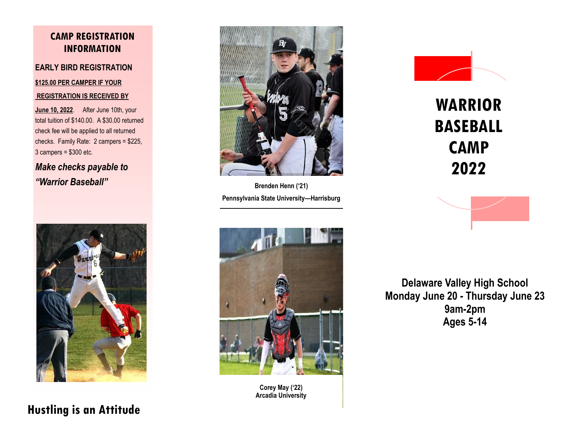#### **CAMP REGISTRATION INFORMATION**

#### **EARLY BIRD REGISTRATION**

#### **\$125.00 PER CAMPER IF YOUR**

#### **REGISTRATION IS RECEIVED BY**

**June 10, 2022**. After June 10th, your total tuition of \$140.00. A \$30.00 returned check fee will be applied to all returned checks. Family Rate: 2 campers = \$225, 3 campers = \$300 etc.

*Make checks payable to "Warrior Baseball"*





**Brenden Henn ('21) Pennsylvania State University—Harrisburg**



**Corey May ('22) Arcadia University**



# **WARRIOR BASEBALL CAMP 2022**



**Delaware Valley High School Monday June 20 - Thursday June 23 9am-2pm Ages 5-14**

## **Hustling is an Attitude**